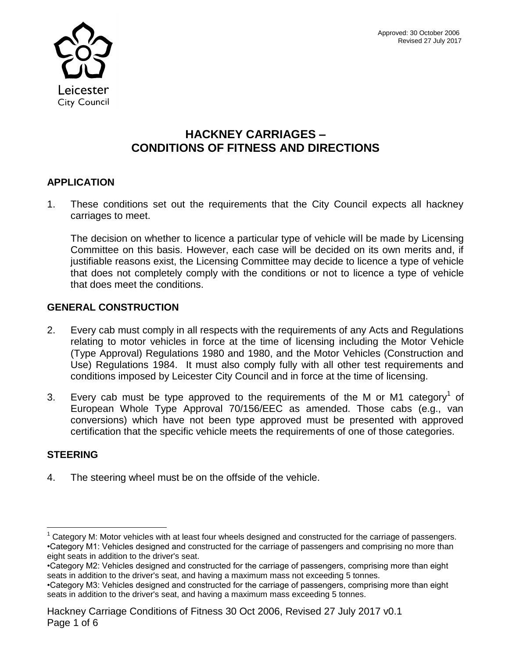

# **HACKNEY CARRIAGES – CONDITIONS OF FITNESS AND DIRECTIONS**

## **APPLICATION**

1. These conditions set out the requirements that the City Council expects all hackney carriages to meet.

The decision on whether to licence a particular type of vehicle will be made by Licensing Committee on this basis. However, each case will be decided on its own merits and, if justifiable reasons exist, the Licensing Committee may decide to licence a type of vehicle that does not completely comply with the conditions or not to licence a type of vehicle that does meet the conditions.

## **GENERAL CONSTRUCTION**

- 2. Every cab must comply in all respects with the requirements of any Acts and Regulations relating to motor vehicles in force at the time of licensing including the Motor Vehicle (Type Approval) Regulations 1980 and 1980, and the Motor Vehicles (Construction and Use) Regulations 1984. It must also comply fully with all other test requirements and conditions imposed by Leicester City Council and in force at the time of licensing.
- 3. Every cab must be type approved to the requirements of the M or M1 category<sup>1</sup> of European Whole Type Approval 70/156/EEC as amended. Those cabs (e.g., van conversions) which have not been type approved must be presented with approved certification that the specific vehicle meets the requirements of one of those categories.

## **STEERING**

l

4. The steering wheel must be on the offside of the vehicle.

 $1$  Category M: Motor vehicles with at least four wheels designed and constructed for the carriage of passengers. •Category M1: Vehicles designed and constructed for the carriage of passengers and comprising no more than eight seats in addition to the driver's seat.

<sup>•</sup>Category M2: Vehicles designed and constructed for the carriage of passengers, comprising more than eight seats in addition to the driver's seat, and having a maximum mass not exceeding 5 tonnes.

<sup>•</sup>Category M3: Vehicles designed and constructed for the carriage of passengers, comprising more than eight seats in addition to the driver's seat, and having a maximum mass exceeding 5 tonnes.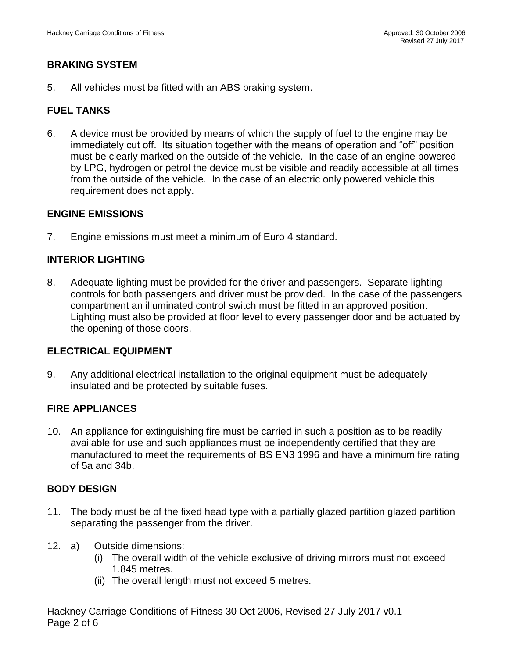## **BRAKING SYSTEM**

5. All vehicles must be fitted with an ABS braking system.

## **FUEL TANKS**

6. A device must be provided by means of which the supply of fuel to the engine may be immediately cut off. Its situation together with the means of operation and "off" position must be clearly marked on the outside of the vehicle. In the case of an engine powered by LPG, hydrogen or petrol the device must be visible and readily accessible at all times from the outside of the vehicle. In the case of an electric only powered vehicle this requirement does not apply.

### **ENGINE EMISSIONS**

7. Engine emissions must meet a minimum of Euro 4 standard.

## **INTERIOR LIGHTING**

8. Adequate lighting must be provided for the driver and passengers. Separate lighting controls for both passengers and driver must be provided. In the case of the passengers compartment an illuminated control switch must be fitted in an approved position. Lighting must also be provided at floor level to every passenger door and be actuated by the opening of those doors.

### **ELECTRICAL EQUIPMENT**

9. Any additional electrical installation to the original equipment must be adequately insulated and be protected by suitable fuses.

### **FIRE APPLIANCES**

10. An appliance for extinguishing fire must be carried in such a position as to be readily available for use and such appliances must be independently certified that they are manufactured to meet the requirements of BS EN3 1996 and have a minimum fire rating of 5a and 34b.

### **BODY DESIGN**

- 11. The body must be of the fixed head type with a partially glazed partition glazed partition separating the passenger from the driver.
- 12. a) Outside dimensions:
	- (i) The overall width of the vehicle exclusive of driving mirrors must not exceed 1.845 metres.
	- (ii) The overall length must not exceed 5 metres.

Hackney Carriage Conditions of Fitness 30 Oct 2006, Revised 27 July 2017 v0.1 Page 2 of 6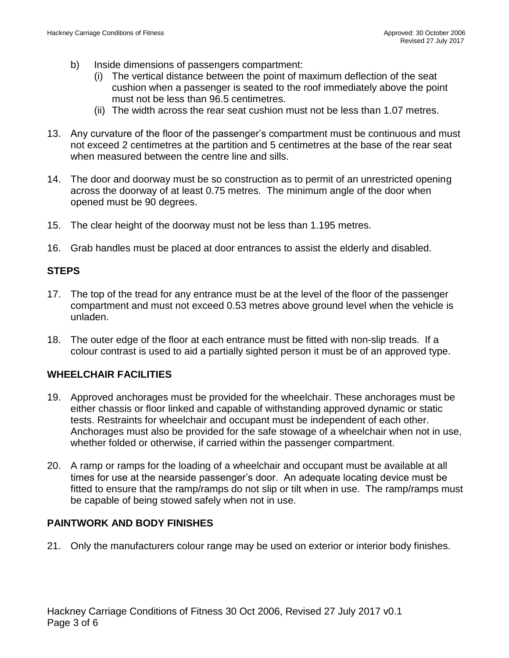- b) Inside dimensions of passengers compartment:
	- (i) The vertical distance between the point of maximum deflection of the seat cushion when a passenger is seated to the roof immediately above the point must not be less than 96.5 centimetres.
	- (ii) The width across the rear seat cushion must not be less than 1.07 metres.
- 13. Any curvature of the floor of the passenger's compartment must be continuous and must not exceed 2 centimetres at the partition and 5 centimetres at the base of the rear seat when measured between the centre line and sills.
- 14. The door and doorway must be so construction as to permit of an unrestricted opening across the doorway of at least 0.75 metres. The minimum angle of the door when opened must be 90 degrees.
- 15. The clear height of the doorway must not be less than 1.195 metres.
- 16. Grab handles must be placed at door entrances to assist the elderly and disabled.

## **STEPS**

- 17. The top of the tread for any entrance must be at the level of the floor of the passenger compartment and must not exceed 0.53 metres above ground level when the vehicle is unladen.
- 18. The outer edge of the floor at each entrance must be fitted with non-slip treads. If a colour contrast is used to aid a partially sighted person it must be of an approved type.

### **WHEELCHAIR FACILITIES**

- 19. Approved anchorages must be provided for the wheelchair. These anchorages must be either chassis or floor linked and capable of withstanding approved dynamic or static tests. Restraints for wheelchair and occupant must be independent of each other. Anchorages must also be provided for the safe stowage of a wheelchair when not in use, whether folded or otherwise, if carried within the passenger compartment.
- 20. A ramp or ramps for the loading of a wheelchair and occupant must be available at all times for use at the nearside passenger's door. An adequate locating device must be fitted to ensure that the ramp/ramps do not slip or tilt when in use. The ramp/ramps must be capable of being stowed safely when not in use.

### **PAINTWORK AND BODY FINISHES**

21. Only the manufacturers colour range may be used on exterior or interior body finishes.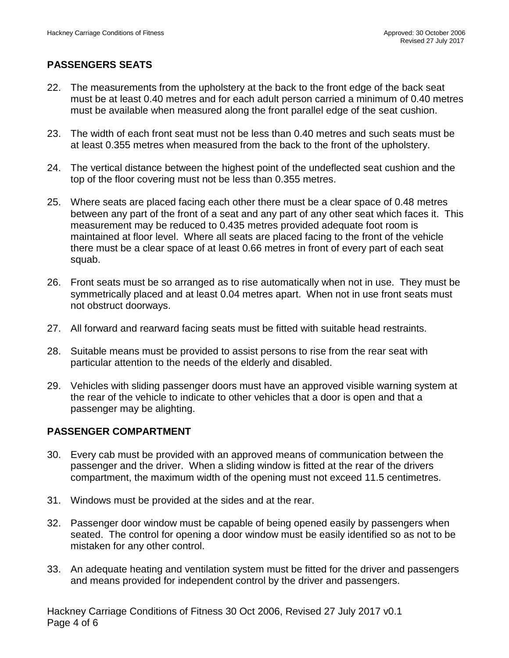## **PASSENGERS SEATS**

- 22. The measurements from the upholstery at the back to the front edge of the back seat must be at least 0.40 metres and for each adult person carried a minimum of 0.40 metres must be available when measured along the front parallel edge of the seat cushion.
- 23. The width of each front seat must not be less than 0.40 metres and such seats must be at least 0.355 metres when measured from the back to the front of the upholstery.
- 24. The vertical distance between the highest point of the undeflected seat cushion and the top of the floor covering must not be less than 0.355 metres.
- 25. Where seats are placed facing each other there must be a clear space of 0.48 metres between any part of the front of a seat and any part of any other seat which faces it. This measurement may be reduced to 0.435 metres provided adequate foot room is maintained at floor level. Where all seats are placed facing to the front of the vehicle there must be a clear space of at least 0.66 metres in front of every part of each seat squab.
- 26. Front seats must be so arranged as to rise automatically when not in use. They must be symmetrically placed and at least 0.04 metres apart. When not in use front seats must not obstruct doorways.
- 27. All forward and rearward facing seats must be fitted with suitable head restraints.
- 28. Suitable means must be provided to assist persons to rise from the rear seat with particular attention to the needs of the elderly and disabled.
- 29. Vehicles with sliding passenger doors must have an approved visible warning system at the rear of the vehicle to indicate to other vehicles that a door is open and that a passenger may be alighting.

## **PASSENGER COMPARTMENT**

- 30. Every cab must be provided with an approved means of communication between the passenger and the driver. When a sliding window is fitted at the rear of the drivers compartment, the maximum width of the opening must not exceed 11.5 centimetres.
- 31. Windows must be provided at the sides and at the rear.
- 32. Passenger door window must be capable of being opened easily by passengers when seated. The control for opening a door window must be easily identified so as not to be mistaken for any other control.
- 33. An adequate heating and ventilation system must be fitted for the driver and passengers and means provided for independent control by the driver and passengers.

Hackney Carriage Conditions of Fitness 30 Oct 2006, Revised 27 July 2017 v0.1 Page 4 of 6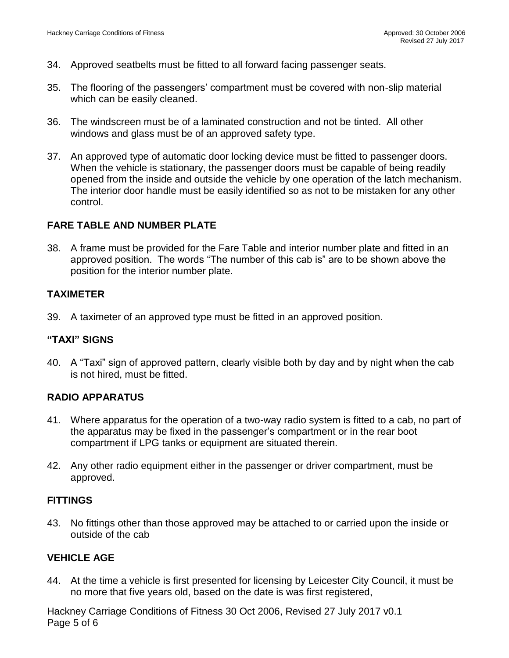- 34. Approved seatbelts must be fitted to all forward facing passenger seats.
- 35. The flooring of the passengers' compartment must be covered with non-slip material which can be easily cleaned.
- 36. The windscreen must be of a laminated construction and not be tinted. All other windows and glass must be of an approved safety type.
- 37. An approved type of automatic door locking device must be fitted to passenger doors. When the vehicle is stationary, the passenger doors must be capable of being readily opened from the inside and outside the vehicle by one operation of the latch mechanism. The interior door handle must be easily identified so as not to be mistaken for any other control.

### **FARE TABLE AND NUMBER PLATE**

38. A frame must be provided for the Fare Table and interior number plate and fitted in an approved position. The words "The number of this cab is" are to be shown above the position for the interior number plate.

### **TAXIMETER**

39. A taximeter of an approved type must be fitted in an approved position.

### **"TAXI" SIGNS**

40. A "Taxi" sign of approved pattern, clearly visible both by day and by night when the cab is not hired, must be fitted.

### **RADIO APPARATUS**

- 41. Where apparatus for the operation of a two-way radio system is fitted to a cab, no part of the apparatus may be fixed in the passenger's compartment or in the rear boot compartment if LPG tanks or equipment are situated therein.
- 42. Any other radio equipment either in the passenger or driver compartment, must be approved.

### **FITTINGS**

43. No fittings other than those approved may be attached to or carried upon the inside or outside of the cab

## **VEHICLE AGE**

44. At the time a vehicle is first presented for licensing by Leicester City Council, it must be no more that five years old, based on the date is was first registered,

Hackney Carriage Conditions of Fitness 30 Oct 2006, Revised 27 July 2017 v0.1 Page 5 of 6